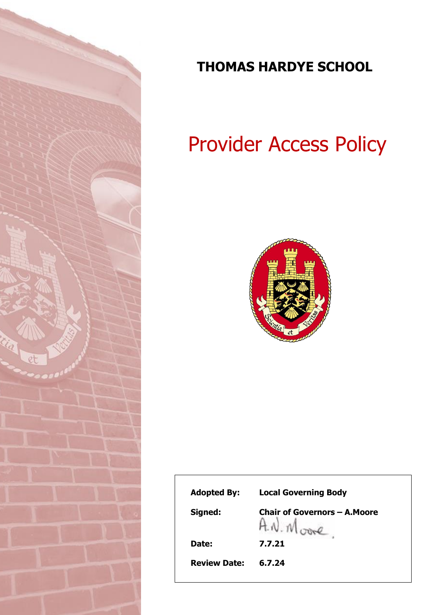

## **THOMAS HARDYE SCHOOL**

# Provider Access Policy



| <b>Adopted By:</b>  | <b>Local Governing Body</b>          |
|---------------------|--------------------------------------|
| Signed:             | <b>Chair of Governors - A. Moore</b> |
| Date:               | 7.7.21                               |
| <b>Review Date:</b> | 6.7.24                               |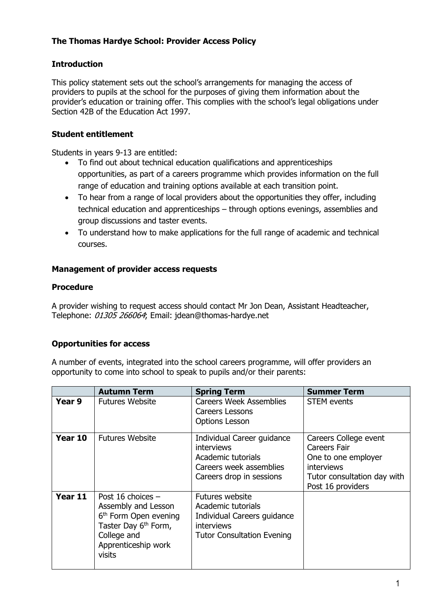#### **The Thomas Hardye School: Provider Access Policy**

#### **Introduction**

This policy statement sets out the school's arrangements for managing the access of providers to pupils at the school for the purposes of giving them information about the provider's education or training offer. This complies with the school's legal obligations under Section 42B of the Education Act 1997.

#### **Student entitlement**

Students in years 9-13 are entitled:

- To find out about technical education qualifications and apprenticeships opportunities, as part of a careers programme which provides information on the full range of education and training options available at each transition point.
- To hear from a range of local providers about the opportunities they offer, including technical education and apprenticeships – through options evenings, assemblies and group discussions and taster events.
- To understand how to make applications for the full range of academic and technical courses.

#### **Management of provider access requests**

#### **Procedure**

A provider wishing to request access should contact Mr Jon Dean, Assistant Headteacher, Telephone: 01305 266064; Email: jdean@thomas-hardye.net

### **Opportunities for access**

A number of events, integrated into the school careers programme, will offer providers an opportunity to come into school to speak to pupils and/or their parents:

|         | <b>Autumn Term</b>                                                                                                                                                | <b>Spring Term</b>                                                                                                             | <b>Summer Term</b>                                                                                                                    |
|---------|-------------------------------------------------------------------------------------------------------------------------------------------------------------------|--------------------------------------------------------------------------------------------------------------------------------|---------------------------------------------------------------------------------------------------------------------------------------|
| Year 9  | <b>Futures Website</b>                                                                                                                                            | <b>Careers Week Assemblies</b><br>Careers Lessons<br><b>Options Lesson</b>                                                     | <b>STEM</b> events                                                                                                                    |
| Year 10 | <b>Futures Website</b>                                                                                                                                            | Individual Career guidance<br><b>interviews</b><br>Academic tutorials<br>Careers week assemblies<br>Careers drop in sessions   | Careers College event<br>Careers Fair<br>One to one employer<br><i>interviews</i><br>Tutor consultation day with<br>Post 16 providers |
| Year 11 | Post 16 choices -<br>Assembly and Lesson<br>6 <sup>th</sup> Form Open evening<br>Taster Day 6 <sup>th</sup> Form,<br>College and<br>Apprenticeship work<br>visits | Futures website<br>Academic tutorials<br>Individual Careers guidance<br><b>interviews</b><br><b>Tutor Consultation Evening</b> |                                                                                                                                       |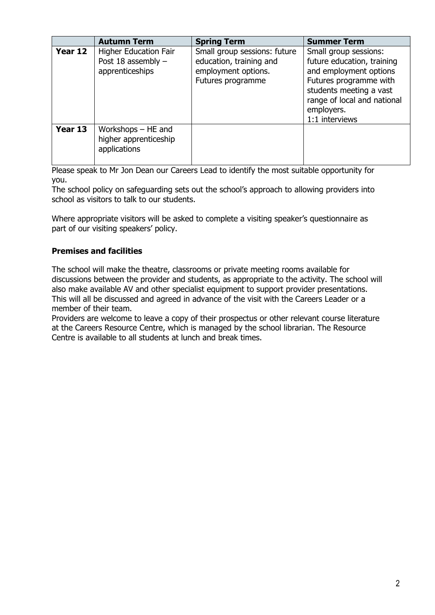|         | <b>Autumn Term</b>                                                    | <b>Spring Term</b>                                                                                  | <b>Summer Term</b>                                                                                                                                                                                |
|---------|-----------------------------------------------------------------------|-----------------------------------------------------------------------------------------------------|---------------------------------------------------------------------------------------------------------------------------------------------------------------------------------------------------|
| Year 12 | <b>Higher Education Fair</b><br>Post 18 assembly -<br>apprenticeships | Small group sessions: future<br>education, training and<br>employment options.<br>Futures programme | Small group sessions:<br>future education, training<br>and employment options<br>Futures programme with<br>students meeting a vast<br>range of local and national<br>employers.<br>1:1 interviews |
| Year 13 | Workshops $-$ HE and<br>higher apprenticeship<br>applications         |                                                                                                     |                                                                                                                                                                                                   |

Please speak to Mr Jon Dean our Careers Lead to identify the most suitable opportunity for you.

The school policy on safeguarding sets out the school's approach to allowing providers into school as visitors to talk to our students.

Where appropriate visitors will be asked to complete a visiting speaker's questionnaire as part of our visiting speakers' policy.

#### **Premises and facilities**

The school will make the theatre, classrooms or private meeting rooms available for discussions between the provider and students, as appropriate to the activity. The school will also make available AV and other specialist equipment to support provider presentations. This will all be discussed and agreed in advance of the visit with the Careers Leader or a member of their team.

Providers are welcome to leave a copy of their prospectus or other relevant course literature at the Careers Resource Centre, which is managed by the school librarian. The Resource Centre is available to all students at lunch and break times.